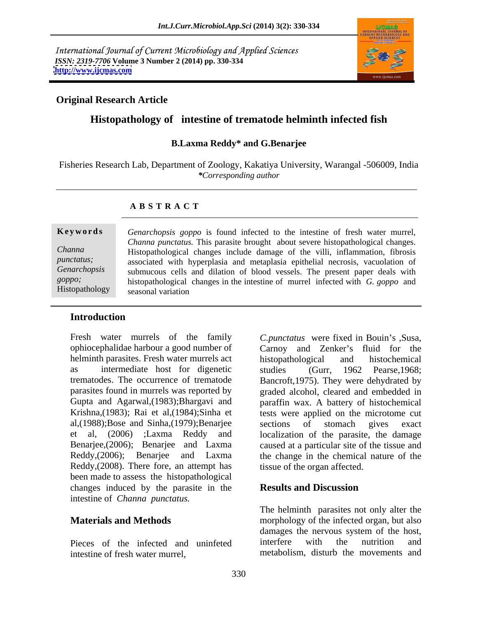International Journal of Current Microbiology and Applied Sciences *ISSN: 2319-7706* **Volume 3 Number 2 (2014) pp. 330-334 <http://www.ijcmas.com>**



## **Original Research Article**

# **Histopathology of intestine of trematode helminth infected fish**

### **B.Laxma Reddy\* and G.Benarjee**

Fisheries Research Lab, Department of Zoology, Kakatiya University, Warangal -506009, India *\*Corresponding author*

### **A B S T R A C T**

**Ke ywo rds** *Genarchopsis goppo* is found infected to the intestine of fresh water murrel, *Channa*  Histopathological changes include damage of the villi, inflammation, fibrosis *punctatus;* associated with hyperplasia and metaplasia epithelial necrosis, vacuolation of *Genarchopsis*  submucous cells and dilation of blood vessels. The present paper deals with *goppo;* histopathological changes in the intestine of murrel infected with *G. goppo* and  $H$ istopathology seasonal variation *Channa punctatus.* This parasite brought about severe histopathological changes. seasonal variation

## **Introduction**

Fresh water murrels of the family C.punctatus were fixed in Bouin's ,Susa, ophiocephalidae harbour a good number of helminth parasites. Fresh water murrels act histopathological and histochemical as intermediate host for digenetic studies (Gurr, 1962 Pearse, 1968; al,(1988);Bose and Sinha,(1979);Benarjee Reddy,(2008). There fore, an attempt has been made to assess the histopathological changes induced by the parasite in the **Results and Discussion** intestine of *Channa punctatus.*

intestine of fresh water murrel, metabolism, disturb the movements and

trematodes. The occurrence of trematode Bancroft,1975). They were dehydrated by parasites found in murrels was reported by graded alcohol, cleared and embedded in Gupta and Agarwal,(1983);Bhargavi and paraffin wax. A battery of histochemical Krishna,(1983); Rai et al,(1984);Sinha et tests were applied on the microtome cut et al, (2006) ;Laxma Reddy and localization of the parasite, the damage Benarjee,(2006); Benarjee and Laxma caused at a particular site of the tissue and Reddy,(2006); Benarjee and Laxma the change in the chemical nature of the Carnoy and Zenker's fluid for the histopathological and histochemical studies (Gurr, 1962 Pearse,1968; sections of stomach gives exact tissue of the organ affected.

### **Results and Discussion**

**Materials and Methods** morphology of the infected organ, but also Pieces of the infected and uninfeted interfere with the nutrition and The helminth parasites not only alter the damages the nervous system of the host, interfere with the nutrition and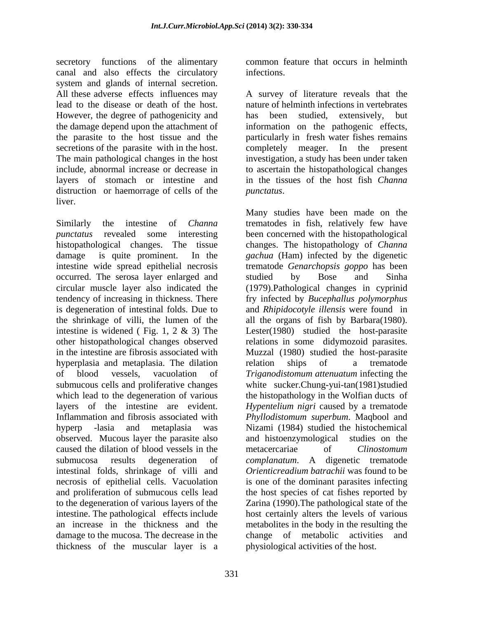secretory functions of the alimentary common feature that occurs in helminth canal and also effects the circulatory system and glands of internal secretion. However, the degree of pathogenicity and has been studied, extensively, but secretions of the parasite with in the host. completely meager. In the present layers of stomach or intestine and distruction or haemorrage of cells of the *punctatus*. liver.

Similarly the intestine of *Channa*  trematodes in fish, relatively few have *punctatus* revealed some interesting been concerned with the histopathological histopathological changes. The tissue changes. The histopathology of *Channa*  damage is quite prominent. In the *gachua* (Ham) infected by the digenetic intestine wide spread epithelial necrosis trematode *Genarchopsis goppo* has been occurred. The serosa layer enlarged and studied by Bose and Sinha circular muscle layer also indicated the (1979).Pathological changes in cyprinid tendency of increasing in thickness. There fry infected by *Bucephallus polymorphus* is degeneration of intestinal folds. Due to and *Rhipidocotyle illensis* were found in the shrinkage of villi, the lumen of the all the organs of fish by Barbara(1980). intestine is widened ( Fig. 1, 2 & 3) The Lester(1980) studied the host-parasite other histopathological changes observed relations in some didymozoid parasites. in the intestine are fibrosis associated with Muzzal (1980) studied the host-parasite hyperplasia and metaplasia. The dilation relation ships of a trematode of blood vessels, vacuolation of *Triganodistomum attenuatum* infecting the submucous cells and proliferative changes white sucker.Chung-yui-tan(1981)studied which lead to the degeneration of various the histopathology in the Wolfian ducts of layers of the intestine are evident. *Hypentelium nigri* caused by a trematode Inflammation and fibrosis associated with *Phyllodistomum superbum*. Maqbool and hyperp -lasia and metaplasia was Nizami (1984) studied the histochemical observed. Mucous layer the parasite also and histoenzymological studies on the caused the dilation of blood vessels in the metacercariae of *Clinostomum* submucosa results degeneration of *complanatum*. A digenetic trematode intestinal folds, shrinkage of villi and *Orienticreadium batrachii* was found to be necrosis of epithelial cells. Vacuolation and proliferation of submucous cells lead the host species of cat fishes reported by to the degeneration of various layers of the Zarina (1990).The pathological state of the intestine. The pathological effects include host certainly alters the levels of various an increase in the thickness and the metabolites in the body in the resulting the damage to the mucosa. The decrease in the change of metabolic activities and thickness of the muscular layer is a

infections.

All these adverse effects influences may A survey of literature reveals that the lead to the disease or death of the host. nature of helminth infections in vertebrates the damage depend upon the attachment of information on the pathogenic effects, the parasite to the host tissue and the particularly in fresh water fishes remains The main pathological changes in the host investigation, a study has been under taken include, abnormal increase or decrease in to ascertain the histopathological changes has been studied, extensively, but completely meager. In the in the tissues of the host fish *Channa punctatus*.

> Many studies have been made on the studied by Bose and Sinha relation ships of a trematode metacercariae of *Clinostomum*  is one of the dominant parasites infecting change of metabolic activities physiological activities of the host.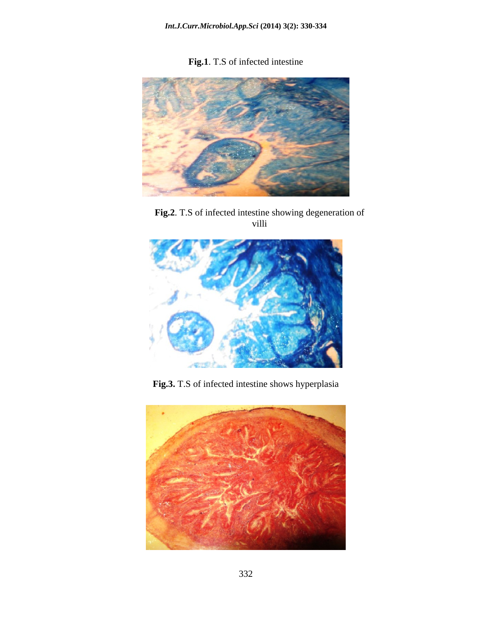**Fig.1**. T.S of infected intestine



**Fig.2**. T.S of infected intestine showing degeneration of villi



**Fig.3.** T.S of infected intestine shows hyperplasia

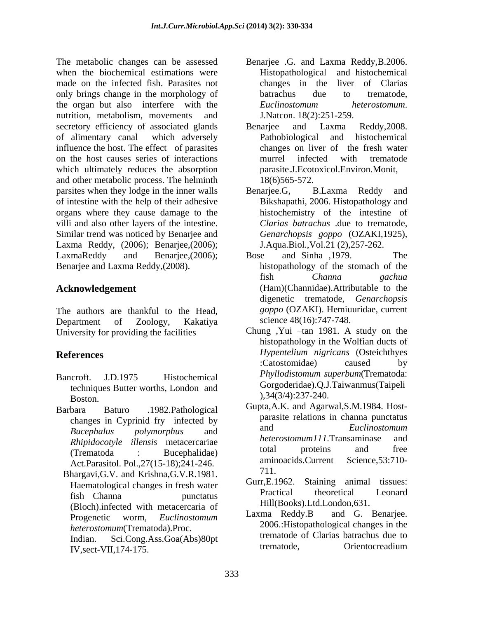The metabolic changes can be assessed Benarjee .G. and Laxma Reddy,B.2006. when the biochemical estimations were **Exercise Exercise Exercise Exercise 2** Histopathological and histochemical made on the infected fish. Parasites not changes in the liver of Clarias only brings change in the morphology of batrachus due to trematode, the organ but also interfere with the *Euclinostomum heterostomum*. nutrition, metabolism, movements and secretory efficiency of associated glands Benarjee and Laxma Reddy, 2008. of alimentary canal which adversely influence the host. The effect of parasites on the host causes series of interactions which ultimately reduces the absorption and other metabolic process. The helminth parsites when they lodge in the inner walls Benariee. G. B. Laxma Reddy and of intestine with the help of their adhesive organs where they cause damage to the villi and also other layers of the intestine. Similar trend was noticed by Benarjee and Laxma Reddy, (2006); Benarjee,(2006); LaxmaReddy and Benarjee,(2006); Bose and Sinha ,1979. The Benarjee and Laxma Reddy,(2008). histopathology of the stomach of the

The authors are thankful to the Head, Department of Zoology, Kakatiya science 48(16):747-748. University for providing the facilities

- Bancroft. J.D.1975 Histochemical *Phyllodistomum superbum* (Trematoda: techniques Butter worths, London and Boston.  $34(3/4)23/2240$ .
- Barbara Baturo .1982.Pathological Gupta,A.K. and Agarwai,S.M.1984. Host-
	- Bhargavi,G.V. and Krishna,G.V.R.1981.<br>
	Usemetels also also age in freeh water Gurr.E.1962. Staining animal tissues: (Bloch).infected with metacercaria of <br>Progenatic worm Euclinestonium Laxma Reddy.B and G. Benarjee.
		- Indian. Sci.Cong.Ass.Goa(Abs)80pt trematode.<br>IV seet VII 174 175 IV,sect-VII,174-175.
- Histopathological and histochemical changes in the liver of Clarias batrachus due to trematode, *Euclinostomum heterostomum*. J.Natcon. 18(2):251-259.
- Benarjee and Laxma Reddy,2008. Pathobiological and histochemical changes on liver of the fresh water murrel infected with trematode parasite.J.Ecotoxicol.Environ.Monit, 18(6)565-572.
- Benarjee.G, B.Laxma Reddy and Bikshapathi, 2006. Histopathology and histochemistry of the intestine of *Clarias batrachus* .due to trematode, *Genarchopsis goppo* (OZAKI,1925), J.Aqua.Biol.,Vol.21 (2),257-262.
- **Acknowledgement**  (Ham)(Channidae).Attributable to the Bose and Sinha ,1979. The fish *Channa gachua* digenetic trematode, *Genarchopsis goppo* (OZAKI). Hemiuuridae, current science 48(16):747-748.
- **References** *Hypentelium nigricans* (Osteichthyes Chung , Yui  $-\tan 1981$ . A study on the histopathology in the Wolfian ducts of :Catostomidae) caused by *Phyllodistomum superbum*(Trematoda: Gorgoderidae).Q.J.Taiwanmus(Taipeli ),34(3/4):237-240.
	- changes in Cyprinid fry infected by parasite relations in channa punctatus<br>and *Euclinostomum Bucephalus polymorphus* and *Rhipidocotyle illensis* metacercariae *heterostomum111*. Transaminase and<br>
	(Transtode in Puscabalides) total proteins and free (Trematoda : Bucephalidae) <sup>total</sup> proteins and free Act.Parasitol. Pol.,27(15-18);241-246. aminoacids.Current Science,53:710-<br>https://www.filesocial.com/ Gupta,A.K. and Agarwal,S.M.1984. Host parasite relations in channa punctatus and *Euclinostomum heterostomum111*.Transaminase total proteins and free aminoacids.Current Science,53:710- 711.
	- Haematological changes in fresh water<br>Fight Changes in the municipal contraction of the Changes of the Changes of the Changes of the Changes of the Changes of the Changes of the Changes of the Changes of the Changes of the fish Channa punctatus Gurr,E.1962. Staining animal tissues: Practical theoretical Leonard Hill(Books).Ltd.London,631.
	- Progenetic worm, *Euclinostomum* Laxma Ready. B and G. Benarjee. *heterostomum*(Trematoda).Proc. 2006.:Histopathological changes in the Laxma Reddy.B and G. Benarjee.<br>2006.:Histopathological changes in the trematode of Clarias batrachus due to Orientocreadium